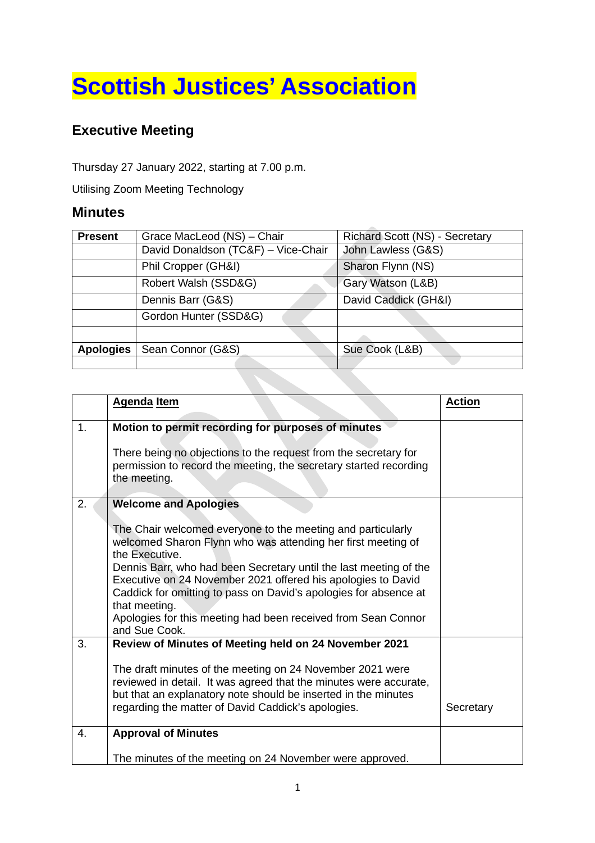## **Scottish Justices' Association**

## **Executive Meeting**

Thursday 27 January 2022, starting at 7.00 p.m.

Utilising Zoom Meeting Technology

## **Minutes**

| <b>Present</b>   | Grace MacLeod (NS) - Chair          | Richard Scott (NS) - Secretary |  |
|------------------|-------------------------------------|--------------------------------|--|
|                  | David Donaldson (TC&F) - Vice-Chair | John Lawless (G&S)             |  |
|                  | Phil Cropper (GH&I)                 | Sharon Flynn (NS)              |  |
|                  | Robert Walsh (SSD&G)                | Gary Watson (L&B)              |  |
|                  | Dennis Barr (G&S)                   | David Caddick (GH&I)           |  |
|                  | Gordon Hunter (SSD&G)               |                                |  |
|                  |                                     |                                |  |
| <b>Apologies</b> | Sean Connor (G&S)                   | Sue Cook (L&B)                 |  |
|                  |                                     |                                |  |
|                  |                                     |                                |  |

|                | <b>Agenda Item</b>                                                                                                                                                                                                                                                                                                                                                                                                                                                                        | <b>Action</b> |
|----------------|-------------------------------------------------------------------------------------------------------------------------------------------------------------------------------------------------------------------------------------------------------------------------------------------------------------------------------------------------------------------------------------------------------------------------------------------------------------------------------------------|---------------|
| 1 <sub>1</sub> | Motion to permit recording for purposes of minutes<br>There being no objections to the request from the secretary for<br>permission to record the meeting, the secretary started recording<br>the meeting.                                                                                                                                                                                                                                                                                |               |
| 2.             | <b>Welcome and Apologies</b><br>The Chair welcomed everyone to the meeting and particularly<br>welcomed Sharon Flynn who was attending her first meeting of<br>the Executive.<br>Dennis Barr, who had been Secretary until the last meeting of the<br>Executive on 24 November 2021 offered his apologies to David<br>Caddick for omitting to pass on David's apologies for absence at<br>that meeting.<br>Apologies for this meeting had been received from Sean Connor<br>and Sue Cook. |               |
| 3.             | Review of Minutes of Meeting held on 24 November 2021<br>The draft minutes of the meeting on 24 November 2021 were<br>reviewed in detail. It was agreed that the minutes were accurate,<br>but that an explanatory note should be inserted in the minutes<br>regarding the matter of David Caddick's apologies.                                                                                                                                                                           | Secretary     |
| 4.             | <b>Approval of Minutes</b><br>The minutes of the meeting on 24 November were approved.                                                                                                                                                                                                                                                                                                                                                                                                    |               |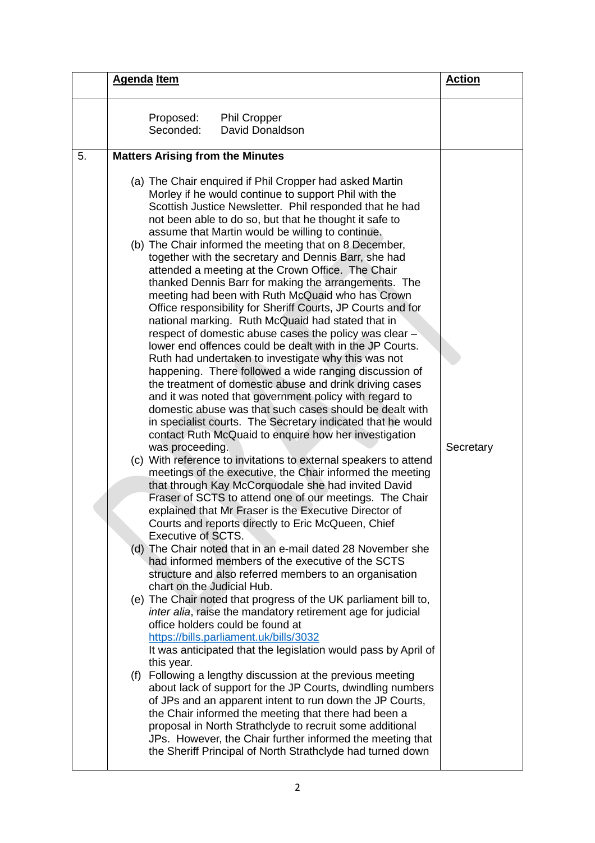| <b>Agenda Item</b>     |                                                                                                                                                                                                                                                                                                                                                                                                                                                                                                                                                                                                                                                                                                                                                                                                                                                                                                                                                                                                                                                                                                                                                                                                                                                                                                                                                                                                                                                                                                                                                                                                                                                                                                                                                                                                                                                                                                                                                                                                                                                                                                                                                                                                                                                                                                                                                                                                                                                                                                                                                                                                       | <b>Action</b> |
|------------------------|-------------------------------------------------------------------------------------------------------------------------------------------------------------------------------------------------------------------------------------------------------------------------------------------------------------------------------------------------------------------------------------------------------------------------------------------------------------------------------------------------------------------------------------------------------------------------------------------------------------------------------------------------------------------------------------------------------------------------------------------------------------------------------------------------------------------------------------------------------------------------------------------------------------------------------------------------------------------------------------------------------------------------------------------------------------------------------------------------------------------------------------------------------------------------------------------------------------------------------------------------------------------------------------------------------------------------------------------------------------------------------------------------------------------------------------------------------------------------------------------------------------------------------------------------------------------------------------------------------------------------------------------------------------------------------------------------------------------------------------------------------------------------------------------------------------------------------------------------------------------------------------------------------------------------------------------------------------------------------------------------------------------------------------------------------------------------------------------------------------------------------------------------------------------------------------------------------------------------------------------------------------------------------------------------------------------------------------------------------------------------------------------------------------------------------------------------------------------------------------------------------------------------------------------------------------------------------------------------------|---------------|
| Proposed:<br>Seconded: | <b>Phil Cropper</b><br>David Donaldson                                                                                                                                                                                                                                                                                                                                                                                                                                                                                                                                                                                                                                                                                                                                                                                                                                                                                                                                                                                                                                                                                                                                                                                                                                                                                                                                                                                                                                                                                                                                                                                                                                                                                                                                                                                                                                                                                                                                                                                                                                                                                                                                                                                                                                                                                                                                                                                                                                                                                                                                                                |               |
| 5.                     | <b>Matters Arising from the Minutes</b>                                                                                                                                                                                                                                                                                                                                                                                                                                                                                                                                                                                                                                                                                                                                                                                                                                                                                                                                                                                                                                                                                                                                                                                                                                                                                                                                                                                                                                                                                                                                                                                                                                                                                                                                                                                                                                                                                                                                                                                                                                                                                                                                                                                                                                                                                                                                                                                                                                                                                                                                                               |               |
| this year.             | (a) The Chair enquired if Phil Cropper had asked Martin<br>Morley if he would continue to support Phil with the<br>Scottish Justice Newsletter. Phil responded that he had<br>not been able to do so, but that he thought it safe to<br>assume that Martin would be willing to continue.<br>(b) The Chair informed the meeting that on 8 December,<br>together with the secretary and Dennis Barr, she had<br>attended a meeting at the Crown Office. The Chair<br>thanked Dennis Barr for making the arrangements. The<br>meeting had been with Ruth McQuaid who has Crown<br>Office responsibility for Sheriff Courts, JP Courts and for<br>national marking. Ruth McQuaid had stated that in<br>respect of domestic abuse cases the policy was clear -<br>lower end offences could be dealt with in the JP Courts.<br>Ruth had undertaken to investigate why this was not<br>happening. There followed a wide ranging discussion of<br>the treatment of domestic abuse and drink driving cases<br>and it was noted that government policy with regard to<br>domestic abuse was that such cases should be dealt with<br>in specialist courts. The Secretary indicated that he would<br>contact Ruth McQuaid to enquire how her investigation<br>was proceeding.<br>(c) With reference to invitations to external speakers to attend<br>meetings of the executive, the Chair informed the meeting<br>that through Kay McCorquodale she had invited David<br>Fraser of SCTS to attend one of our meetings. The Chair<br>explained that Mr Fraser is the Executive Director of<br>Courts and reports directly to Eric McQueen, Chief<br><b>Executive of SCTS.</b><br>(d) The Chair noted that in an e-mail dated 28 November she<br>had informed members of the executive of the SCTS<br>structure and also referred members to an organisation<br>chart on the Judicial Hub.<br>(e) The Chair noted that progress of the UK parliament bill to,<br>inter alia, raise the mandatory retirement age for judicial<br>office holders could be found at<br>https://bills.parliament.uk/bills/3032<br>It was anticipated that the legislation would pass by April of<br>(f) Following a lengthy discussion at the previous meeting<br>about lack of support for the JP Courts, dwindling numbers<br>of JPs and an apparent intent to run down the JP Courts,<br>the Chair informed the meeting that there had been a<br>proposal in North Strathclyde to recruit some additional<br>JPs. However, the Chair further informed the meeting that<br>the Sheriff Principal of North Strathclyde had turned down | Secretary     |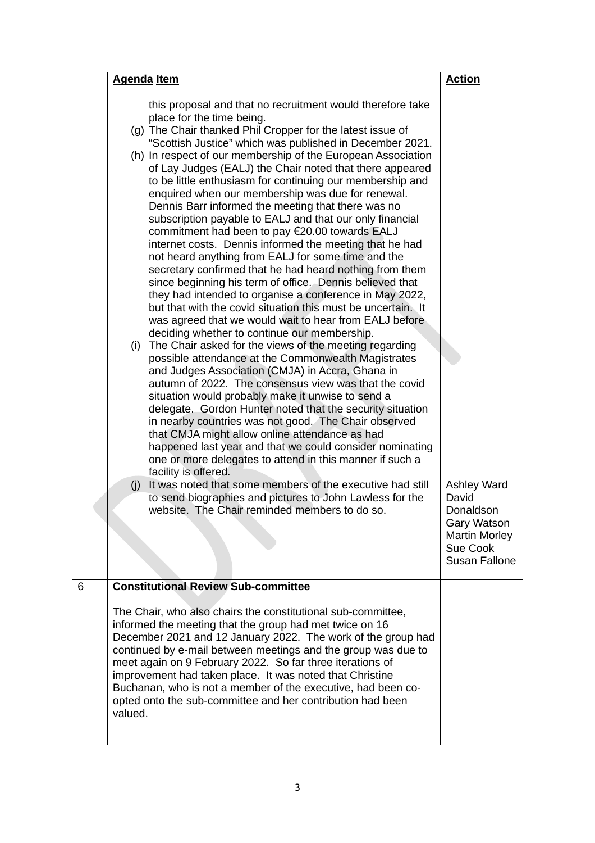|   | <b>Agenda</b> Item                                                                                                                                                                                                                                                                                                                                                                                                                                                                                                                                                                                                                                                                                                                                                                                                                                                                                                                                                                                                                                                                                                                                                                                                                                                                                                                                                                                                                                                                                                                                                                                                                                                                                                                                                                                                                                                                                              | <b>Action</b>                                                                                                       |
|---|-----------------------------------------------------------------------------------------------------------------------------------------------------------------------------------------------------------------------------------------------------------------------------------------------------------------------------------------------------------------------------------------------------------------------------------------------------------------------------------------------------------------------------------------------------------------------------------------------------------------------------------------------------------------------------------------------------------------------------------------------------------------------------------------------------------------------------------------------------------------------------------------------------------------------------------------------------------------------------------------------------------------------------------------------------------------------------------------------------------------------------------------------------------------------------------------------------------------------------------------------------------------------------------------------------------------------------------------------------------------------------------------------------------------------------------------------------------------------------------------------------------------------------------------------------------------------------------------------------------------------------------------------------------------------------------------------------------------------------------------------------------------------------------------------------------------------------------------------------------------------------------------------------------------|---------------------------------------------------------------------------------------------------------------------|
|   | this proposal and that no recruitment would therefore take<br>place for the time being.<br>(g) The Chair thanked Phil Cropper for the latest issue of<br>"Scottish Justice" which was published in December 2021.<br>(h) In respect of our membership of the European Association<br>of Lay Judges (EALJ) the Chair noted that there appeared<br>to be little enthusiasm for continuing our membership and<br>enquired when our membership was due for renewal.<br>Dennis Barr informed the meeting that there was no<br>subscription payable to EALJ and that our only financial<br>commitment had been to pay €20.00 towards EALJ<br>internet costs. Dennis informed the meeting that he had<br>not heard anything from EALJ for some time and the<br>secretary confirmed that he had heard nothing from them<br>since beginning his term of office. Dennis believed that<br>they had intended to organise a conference in May 2022,<br>but that with the covid situation this must be uncertain. It<br>was agreed that we would wait to hear from EALJ before<br>deciding whether to continue our membership.<br>(i) The Chair asked for the views of the meeting regarding<br>possible attendance at the Commonwealth Magistrates<br>and Judges Association (CMJA) in Accra, Ghana in<br>autumn of 2022. The consensus view was that the covid<br>situation would probably make it unwise to send a<br>delegate. Gordon Hunter noted that the security situation<br>in nearby countries was not good. The Chair observed<br>that CMJA might allow online attendance as had<br>happened last year and that we could consider nominating<br>one or more delegates to attend in this manner if such a<br>facility is offered.<br>It was noted that some members of the executive had still<br>(i)<br>to send biographies and pictures to John Lawless for the<br>website. The Chair reminded members to do so. | <b>Ashley Ward</b><br>David<br>Donaldson<br>Gary Watson<br><b>Martin Morley</b><br>Sue Cook<br><b>Susan Fallone</b> |
| 6 | <b>Constitutional Review Sub-committee</b>                                                                                                                                                                                                                                                                                                                                                                                                                                                                                                                                                                                                                                                                                                                                                                                                                                                                                                                                                                                                                                                                                                                                                                                                                                                                                                                                                                                                                                                                                                                                                                                                                                                                                                                                                                                                                                                                      |                                                                                                                     |
|   | The Chair, who also chairs the constitutional sub-committee,<br>informed the meeting that the group had met twice on 16<br>December 2021 and 12 January 2022. The work of the group had<br>continued by e-mail between meetings and the group was due to<br>meet again on 9 February 2022. So far three iterations of<br>improvement had taken place. It was noted that Christine<br>Buchanan, who is not a member of the executive, had been co-<br>opted onto the sub-committee and her contribution had been<br>valued.                                                                                                                                                                                                                                                                                                                                                                                                                                                                                                                                                                                                                                                                                                                                                                                                                                                                                                                                                                                                                                                                                                                                                                                                                                                                                                                                                                                      |                                                                                                                     |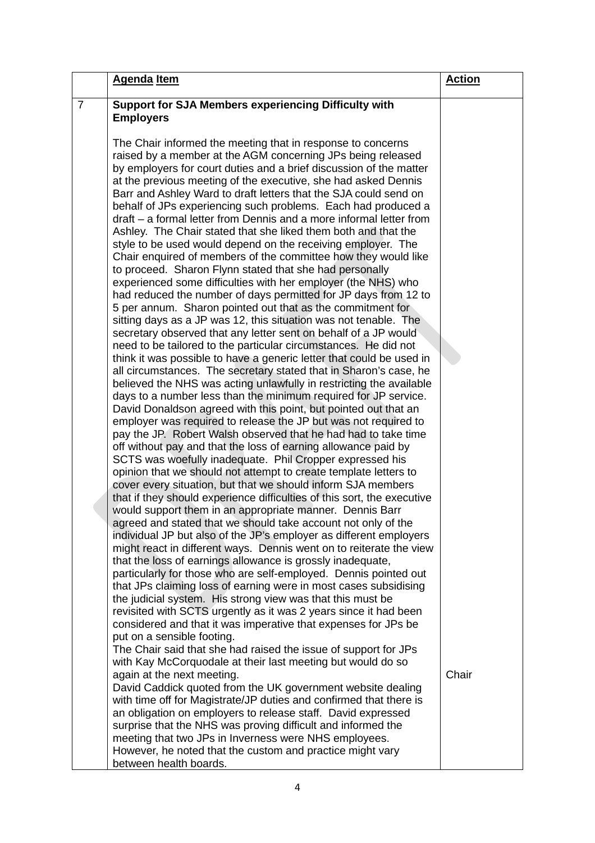|                | <b>Agenda Item</b>                                                                                                                                                                                                                                                                                                                                                                                                                                                                                                                                                                                                                                                                                                                                                                                                                                                                                                                                                                                                                                                                                                                                                                                                                                                                                                                                                                                                                                       | <b>Action</b> |
|----------------|----------------------------------------------------------------------------------------------------------------------------------------------------------------------------------------------------------------------------------------------------------------------------------------------------------------------------------------------------------------------------------------------------------------------------------------------------------------------------------------------------------------------------------------------------------------------------------------------------------------------------------------------------------------------------------------------------------------------------------------------------------------------------------------------------------------------------------------------------------------------------------------------------------------------------------------------------------------------------------------------------------------------------------------------------------------------------------------------------------------------------------------------------------------------------------------------------------------------------------------------------------------------------------------------------------------------------------------------------------------------------------------------------------------------------------------------------------|---------------|
| $\overline{7}$ | Support for SJA Members experiencing Difficulty with                                                                                                                                                                                                                                                                                                                                                                                                                                                                                                                                                                                                                                                                                                                                                                                                                                                                                                                                                                                                                                                                                                                                                                                                                                                                                                                                                                                                     |               |
|                | <b>Employers</b>                                                                                                                                                                                                                                                                                                                                                                                                                                                                                                                                                                                                                                                                                                                                                                                                                                                                                                                                                                                                                                                                                                                                                                                                                                                                                                                                                                                                                                         |               |
|                |                                                                                                                                                                                                                                                                                                                                                                                                                                                                                                                                                                                                                                                                                                                                                                                                                                                                                                                                                                                                                                                                                                                                                                                                                                                                                                                                                                                                                                                          |               |
|                | The Chair informed the meeting that in response to concerns                                                                                                                                                                                                                                                                                                                                                                                                                                                                                                                                                                                                                                                                                                                                                                                                                                                                                                                                                                                                                                                                                                                                                                                                                                                                                                                                                                                              |               |
|                | raised by a member at the AGM concerning JPs being released<br>by employers for court duties and a brief discussion of the matter                                                                                                                                                                                                                                                                                                                                                                                                                                                                                                                                                                                                                                                                                                                                                                                                                                                                                                                                                                                                                                                                                                                                                                                                                                                                                                                        |               |
|                | at the previous meeting of the executive, she had asked Dennis                                                                                                                                                                                                                                                                                                                                                                                                                                                                                                                                                                                                                                                                                                                                                                                                                                                                                                                                                                                                                                                                                                                                                                                                                                                                                                                                                                                           |               |
|                | Barr and Ashley Ward to draft letters that the SJA could send on                                                                                                                                                                                                                                                                                                                                                                                                                                                                                                                                                                                                                                                                                                                                                                                                                                                                                                                                                                                                                                                                                                                                                                                                                                                                                                                                                                                         |               |
|                | behalf of JPs experiencing such problems. Each had produced a                                                                                                                                                                                                                                                                                                                                                                                                                                                                                                                                                                                                                                                                                                                                                                                                                                                                                                                                                                                                                                                                                                                                                                                                                                                                                                                                                                                            |               |
|                | draft – a formal letter from Dennis and a more informal letter from                                                                                                                                                                                                                                                                                                                                                                                                                                                                                                                                                                                                                                                                                                                                                                                                                                                                                                                                                                                                                                                                                                                                                                                                                                                                                                                                                                                      |               |
|                | Ashley. The Chair stated that she liked them both and that the                                                                                                                                                                                                                                                                                                                                                                                                                                                                                                                                                                                                                                                                                                                                                                                                                                                                                                                                                                                                                                                                                                                                                                                                                                                                                                                                                                                           |               |
|                | style to be used would depend on the receiving employer. The                                                                                                                                                                                                                                                                                                                                                                                                                                                                                                                                                                                                                                                                                                                                                                                                                                                                                                                                                                                                                                                                                                                                                                                                                                                                                                                                                                                             |               |
|                | Chair enquired of members of the committee how they would like                                                                                                                                                                                                                                                                                                                                                                                                                                                                                                                                                                                                                                                                                                                                                                                                                                                                                                                                                                                                                                                                                                                                                                                                                                                                                                                                                                                           |               |
|                | to proceed. Sharon Flynn stated that she had personally                                                                                                                                                                                                                                                                                                                                                                                                                                                                                                                                                                                                                                                                                                                                                                                                                                                                                                                                                                                                                                                                                                                                                                                                                                                                                                                                                                                                  |               |
|                | experienced some difficulties with her employer (the NHS) who<br>had reduced the number of days permitted for JP days from 12 to                                                                                                                                                                                                                                                                                                                                                                                                                                                                                                                                                                                                                                                                                                                                                                                                                                                                                                                                                                                                                                                                                                                                                                                                                                                                                                                         |               |
|                | 5 per annum. Sharon pointed out that as the commitment for                                                                                                                                                                                                                                                                                                                                                                                                                                                                                                                                                                                                                                                                                                                                                                                                                                                                                                                                                                                                                                                                                                                                                                                                                                                                                                                                                                                               |               |
|                | sitting days as a JP was 12, this situation was not tenable. The                                                                                                                                                                                                                                                                                                                                                                                                                                                                                                                                                                                                                                                                                                                                                                                                                                                                                                                                                                                                                                                                                                                                                                                                                                                                                                                                                                                         |               |
|                | secretary observed that any letter sent on behalf of a JP would                                                                                                                                                                                                                                                                                                                                                                                                                                                                                                                                                                                                                                                                                                                                                                                                                                                                                                                                                                                                                                                                                                                                                                                                                                                                                                                                                                                          |               |
|                | need to be tailored to the particular circumstances. He did not                                                                                                                                                                                                                                                                                                                                                                                                                                                                                                                                                                                                                                                                                                                                                                                                                                                                                                                                                                                                                                                                                                                                                                                                                                                                                                                                                                                          |               |
|                | think it was possible to have a generic letter that could be used in                                                                                                                                                                                                                                                                                                                                                                                                                                                                                                                                                                                                                                                                                                                                                                                                                                                                                                                                                                                                                                                                                                                                                                                                                                                                                                                                                                                     |               |
|                |                                                                                                                                                                                                                                                                                                                                                                                                                                                                                                                                                                                                                                                                                                                                                                                                                                                                                                                                                                                                                                                                                                                                                                                                                                                                                                                                                                                                                                                          |               |
|                |                                                                                                                                                                                                                                                                                                                                                                                                                                                                                                                                                                                                                                                                                                                                                                                                                                                                                                                                                                                                                                                                                                                                                                                                                                                                                                                                                                                                                                                          |               |
|                |                                                                                                                                                                                                                                                                                                                                                                                                                                                                                                                                                                                                                                                                                                                                                                                                                                                                                                                                                                                                                                                                                                                                                                                                                                                                                                                                                                                                                                                          |               |
|                |                                                                                                                                                                                                                                                                                                                                                                                                                                                                                                                                                                                                                                                                                                                                                                                                                                                                                                                                                                                                                                                                                                                                                                                                                                                                                                                                                                                                                                                          |               |
|                |                                                                                                                                                                                                                                                                                                                                                                                                                                                                                                                                                                                                                                                                                                                                                                                                                                                                                                                                                                                                                                                                                                                                                                                                                                                                                                                                                                                                                                                          |               |
|                |                                                                                                                                                                                                                                                                                                                                                                                                                                                                                                                                                                                                                                                                                                                                                                                                                                                                                                                                                                                                                                                                                                                                                                                                                                                                                                                                                                                                                                                          |               |
|                |                                                                                                                                                                                                                                                                                                                                                                                                                                                                                                                                                                                                                                                                                                                                                                                                                                                                                                                                                                                                                                                                                                                                                                                                                                                                                                                                                                                                                                                          |               |
|                | opinion that we should not attempt to create template letters to                                                                                                                                                                                                                                                                                                                                                                                                                                                                                                                                                                                                                                                                                                                                                                                                                                                                                                                                                                                                                                                                                                                                                                                                                                                                                                                                                                                         |               |
|                | cover every situation, but that we should inform SJA members                                                                                                                                                                                                                                                                                                                                                                                                                                                                                                                                                                                                                                                                                                                                                                                                                                                                                                                                                                                                                                                                                                                                                                                                                                                                                                                                                                                             |               |
|                |                                                                                                                                                                                                                                                                                                                                                                                                                                                                                                                                                                                                                                                                                                                                                                                                                                                                                                                                                                                                                                                                                                                                                                                                                                                                                                                                                                                                                                                          |               |
|                |                                                                                                                                                                                                                                                                                                                                                                                                                                                                                                                                                                                                                                                                                                                                                                                                                                                                                                                                                                                                                                                                                                                                                                                                                                                                                                                                                                                                                                                          |               |
|                |                                                                                                                                                                                                                                                                                                                                                                                                                                                                                                                                                                                                                                                                                                                                                                                                                                                                                                                                                                                                                                                                                                                                                                                                                                                                                                                                                                                                                                                          |               |
|                |                                                                                                                                                                                                                                                                                                                                                                                                                                                                                                                                                                                                                                                                                                                                                                                                                                                                                                                                                                                                                                                                                                                                                                                                                                                                                                                                                                                                                                                          |               |
|                |                                                                                                                                                                                                                                                                                                                                                                                                                                                                                                                                                                                                                                                                                                                                                                                                                                                                                                                                                                                                                                                                                                                                                                                                                                                                                                                                                                                                                                                          |               |
|                | particularly for those who are self-employed. Dennis pointed out                                                                                                                                                                                                                                                                                                                                                                                                                                                                                                                                                                                                                                                                                                                                                                                                                                                                                                                                                                                                                                                                                                                                                                                                                                                                                                                                                                                         |               |
|                | that JPs claiming loss of earning were in most cases subsidising                                                                                                                                                                                                                                                                                                                                                                                                                                                                                                                                                                                                                                                                                                                                                                                                                                                                                                                                                                                                                                                                                                                                                                                                                                                                                                                                                                                         |               |
|                | the judicial system. His strong view was that this must be                                                                                                                                                                                                                                                                                                                                                                                                                                                                                                                                                                                                                                                                                                                                                                                                                                                                                                                                                                                                                                                                                                                                                                                                                                                                                                                                                                                               |               |
|                |                                                                                                                                                                                                                                                                                                                                                                                                                                                                                                                                                                                                                                                                                                                                                                                                                                                                                                                                                                                                                                                                                                                                                                                                                                                                                                                                                                                                                                                          |               |
|                |                                                                                                                                                                                                                                                                                                                                                                                                                                                                                                                                                                                                                                                                                                                                                                                                                                                                                                                                                                                                                                                                                                                                                                                                                                                                                                                                                                                                                                                          |               |
|                |                                                                                                                                                                                                                                                                                                                                                                                                                                                                                                                                                                                                                                                                                                                                                                                                                                                                                                                                                                                                                                                                                                                                                                                                                                                                                                                                                                                                                                                          |               |
|                |                                                                                                                                                                                                                                                                                                                                                                                                                                                                                                                                                                                                                                                                                                                                                                                                                                                                                                                                                                                                                                                                                                                                                                                                                                                                                                                                                                                                                                                          |               |
|                |                                                                                                                                                                                                                                                                                                                                                                                                                                                                                                                                                                                                                                                                                                                                                                                                                                                                                                                                                                                                                                                                                                                                                                                                                                                                                                                                                                                                                                                          | Chair         |
|                | David Caddick quoted from the UK government website dealing                                                                                                                                                                                                                                                                                                                                                                                                                                                                                                                                                                                                                                                                                                                                                                                                                                                                                                                                                                                                                                                                                                                                                                                                                                                                                                                                                                                              |               |
|                | with time off for Magistrate/JP duties and confirmed that there is                                                                                                                                                                                                                                                                                                                                                                                                                                                                                                                                                                                                                                                                                                                                                                                                                                                                                                                                                                                                                                                                                                                                                                                                                                                                                                                                                                                       |               |
|                | an obligation on employers to release staff. David expressed                                                                                                                                                                                                                                                                                                                                                                                                                                                                                                                                                                                                                                                                                                                                                                                                                                                                                                                                                                                                                                                                                                                                                                                                                                                                                                                                                                                             |               |
|                | surprise that the NHS was proving difficult and informed the                                                                                                                                                                                                                                                                                                                                                                                                                                                                                                                                                                                                                                                                                                                                                                                                                                                                                                                                                                                                                                                                                                                                                                                                                                                                                                                                                                                             |               |
|                |                                                                                                                                                                                                                                                                                                                                                                                                                                                                                                                                                                                                                                                                                                                                                                                                                                                                                                                                                                                                                                                                                                                                                                                                                                                                                                                                                                                                                                                          |               |
|                |                                                                                                                                                                                                                                                                                                                                                                                                                                                                                                                                                                                                                                                                                                                                                                                                                                                                                                                                                                                                                                                                                                                                                                                                                                                                                                                                                                                                                                                          |               |
|                | all circumstances. The secretary stated that in Sharon's case, he<br>believed the NHS was acting unlawfully in restricting the available<br>days to a number less than the minimum required for JP service.<br>David Donaldson agreed with this point, but pointed out that an<br>employer was required to release the JP but was not required to<br>pay the JP. Robert Walsh observed that he had had to take time<br>off without pay and that the loss of earning allowance paid by<br>SCTS was woefully inadequate. Phil Cropper expressed his<br>that if they should experience difficulties of this sort, the executive<br>would support them in an appropriate manner. Dennis Barr<br>agreed and stated that we should take account not only of the<br>individual JP but also of the JP's employer as different employers<br>might react in different ways. Dennis went on to reiterate the view<br>that the loss of earnings allowance is grossly inadequate,<br>revisited with SCTS urgently as it was 2 years since it had been<br>considered and that it was imperative that expenses for JPs be<br>put on a sensible footing.<br>The Chair said that she had raised the issue of support for JPs<br>with Kay McCorquodale at their last meeting but would do so<br>again at the next meeting.<br>meeting that two JPs in Inverness were NHS employees.<br>However, he noted that the custom and practice might vary<br>between health boards. |               |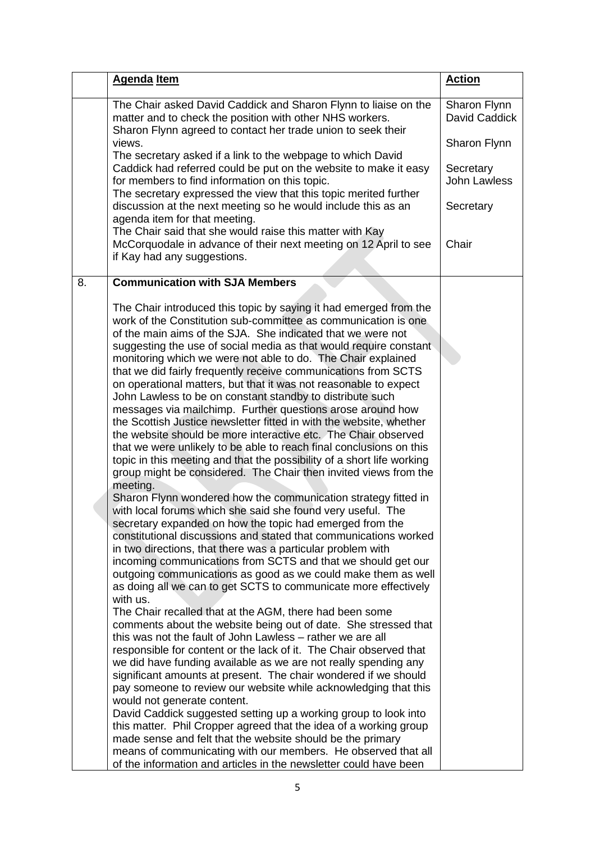| <b>Agenda Item</b>                                                                                                                                                                                                                                                                                                                                                                                                                                                                                                                                                                                                                                                                                                                                                                                                                                                                                                                                                                                                                                                                                                                                                                                                                                                                                                                                                                                                                                                                                                                                                                                                                                                                                                                                                                                                                                                                                                                                                                                                                                                                                                                                                                                                                                                                                                                                                                       | <b>Action</b>                 |
|------------------------------------------------------------------------------------------------------------------------------------------------------------------------------------------------------------------------------------------------------------------------------------------------------------------------------------------------------------------------------------------------------------------------------------------------------------------------------------------------------------------------------------------------------------------------------------------------------------------------------------------------------------------------------------------------------------------------------------------------------------------------------------------------------------------------------------------------------------------------------------------------------------------------------------------------------------------------------------------------------------------------------------------------------------------------------------------------------------------------------------------------------------------------------------------------------------------------------------------------------------------------------------------------------------------------------------------------------------------------------------------------------------------------------------------------------------------------------------------------------------------------------------------------------------------------------------------------------------------------------------------------------------------------------------------------------------------------------------------------------------------------------------------------------------------------------------------------------------------------------------------------------------------------------------------------------------------------------------------------------------------------------------------------------------------------------------------------------------------------------------------------------------------------------------------------------------------------------------------------------------------------------------------------------------------------------------------------------------------------------------------|-------------------------------|
| The Chair asked David Caddick and Sharon Flynn to liaise on the<br>matter and to check the position with other NHS workers.<br>Sharon Flynn agreed to contact her trade union to seek their                                                                                                                                                                                                                                                                                                                                                                                                                                                                                                                                                                                                                                                                                                                                                                                                                                                                                                                                                                                                                                                                                                                                                                                                                                                                                                                                                                                                                                                                                                                                                                                                                                                                                                                                                                                                                                                                                                                                                                                                                                                                                                                                                                                              | Sharon Flynn<br>David Caddick |
| views.<br>The secretary asked if a link to the webpage to which David                                                                                                                                                                                                                                                                                                                                                                                                                                                                                                                                                                                                                                                                                                                                                                                                                                                                                                                                                                                                                                                                                                                                                                                                                                                                                                                                                                                                                                                                                                                                                                                                                                                                                                                                                                                                                                                                                                                                                                                                                                                                                                                                                                                                                                                                                                                    | Sharon Flynn                  |
| Caddick had referred could be put on the website to make it easy<br>for members to find information on this topic.<br>The secretary expressed the view that this topic merited further                                                                                                                                                                                                                                                                                                                                                                                                                                                                                                                                                                                                                                                                                                                                                                                                                                                                                                                                                                                                                                                                                                                                                                                                                                                                                                                                                                                                                                                                                                                                                                                                                                                                                                                                                                                                                                                                                                                                                                                                                                                                                                                                                                                                   | Secretary<br>John Lawless     |
| discussion at the next meeting so he would include this as an<br>agenda item for that meeting.                                                                                                                                                                                                                                                                                                                                                                                                                                                                                                                                                                                                                                                                                                                                                                                                                                                                                                                                                                                                                                                                                                                                                                                                                                                                                                                                                                                                                                                                                                                                                                                                                                                                                                                                                                                                                                                                                                                                                                                                                                                                                                                                                                                                                                                                                           | Secretary                     |
| The Chair said that she would raise this matter with Kay<br>McCorquodale in advance of their next meeting on 12 April to see<br>if Kay had any suggestions.                                                                                                                                                                                                                                                                                                                                                                                                                                                                                                                                                                                                                                                                                                                                                                                                                                                                                                                                                                                                                                                                                                                                                                                                                                                                                                                                                                                                                                                                                                                                                                                                                                                                                                                                                                                                                                                                                                                                                                                                                                                                                                                                                                                                                              | Chair                         |
| <b>Communication with SJA Members</b><br>8.                                                                                                                                                                                                                                                                                                                                                                                                                                                                                                                                                                                                                                                                                                                                                                                                                                                                                                                                                                                                                                                                                                                                                                                                                                                                                                                                                                                                                                                                                                                                                                                                                                                                                                                                                                                                                                                                                                                                                                                                                                                                                                                                                                                                                                                                                                                                              |                               |
| The Chair introduced this topic by saying it had emerged from the<br>work of the Constitution sub-committee as communication is one<br>of the main aims of the SJA. She indicated that we were not<br>suggesting the use of social media as that would require constant<br>monitoring which we were not able to do. The Chair explained<br>that we did fairly frequently receive communications from SCTS<br>on operational matters, but that it was not reasonable to expect<br>John Lawless to be on constant standby to distribute such<br>messages via mailchimp. Further questions arose around how<br>the Scottish Justice newsletter fitted in with the website, whether<br>the website should be more interactive etc. The Chair observed<br>that we were unlikely to be able to reach final conclusions on this<br>topic in this meeting and that the possibility of a short life working<br>group might be considered. The Chair then invited views from the<br>meeting.<br>Sharon Flynn wondered how the communication strategy fitted in<br>with local forums which she said she found very useful. The<br>secretary expanded on how the topic had emerged from the<br>constitutional discussions and stated that communications worked<br>in two directions, that there was a particular problem with<br>incoming communications from SCTS and that we should get our<br>outgoing communications as good as we could make them as well<br>as doing all we can to get SCTS to communicate more effectively<br>with us.<br>The Chair recalled that at the AGM, there had been some<br>comments about the website being out of date. She stressed that<br>this was not the fault of John Lawless – rather we are all<br>responsible for content or the lack of it. The Chair observed that<br>we did have funding available as we are not really spending any<br>significant amounts at present. The chair wondered if we should<br>pay someone to review our website while acknowledging that this<br>would not generate content.<br>David Caddick suggested setting up a working group to look into<br>this matter. Phil Cropper agreed that the idea of a working group<br>made sense and felt that the website should be the primary<br>means of communicating with our members. He observed that all<br>of the information and articles in the newsletter could have been |                               |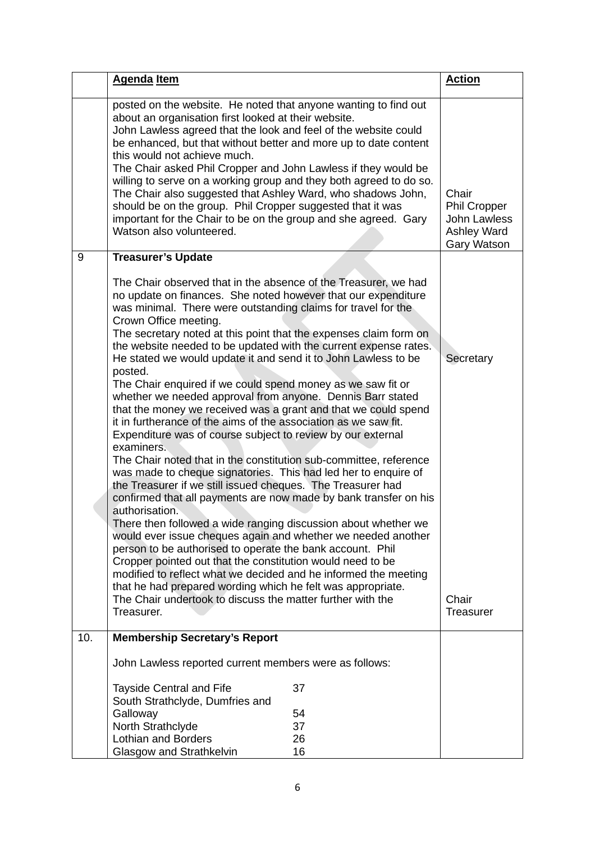|     | <b>Agenda Item</b>                                                                                                                                                                                                                                                                                                                                                                                                                                                                                                                                                                                                                                                                                                                                                                                                                                                                                                                                                                                                                                                                                                                                                                                                                                                                                                                                                                                                                                                                                                                                                     |    | <b>Action</b>                                                       |
|-----|------------------------------------------------------------------------------------------------------------------------------------------------------------------------------------------------------------------------------------------------------------------------------------------------------------------------------------------------------------------------------------------------------------------------------------------------------------------------------------------------------------------------------------------------------------------------------------------------------------------------------------------------------------------------------------------------------------------------------------------------------------------------------------------------------------------------------------------------------------------------------------------------------------------------------------------------------------------------------------------------------------------------------------------------------------------------------------------------------------------------------------------------------------------------------------------------------------------------------------------------------------------------------------------------------------------------------------------------------------------------------------------------------------------------------------------------------------------------------------------------------------------------------------------------------------------------|----|---------------------------------------------------------------------|
|     | posted on the website. He noted that anyone wanting to find out<br>about an organisation first looked at their website.<br>John Lawless agreed that the look and feel of the website could<br>be enhanced, but that without better and more up to date content<br>this would not achieve much.<br>The Chair asked Phil Cropper and John Lawless if they would be<br>willing to serve on a working group and they both agreed to do so.<br>The Chair also suggested that Ashley Ward, who shadows John,<br>should be on the group. Phil Cropper suggested that it was<br>important for the Chair to be on the group and she agreed. Gary<br>Watson also volunteered.                                                                                                                                                                                                                                                                                                                                                                                                                                                                                                                                                                                                                                                                                                                                                                                                                                                                                                    |    | Chair<br>Phil Cropper<br>John Lawless<br>Ashley Ward<br>Gary Watson |
| 9   | <b>Treasurer's Update</b>                                                                                                                                                                                                                                                                                                                                                                                                                                                                                                                                                                                                                                                                                                                                                                                                                                                                                                                                                                                                                                                                                                                                                                                                                                                                                                                                                                                                                                                                                                                                              |    |                                                                     |
|     | The Chair observed that in the absence of the Treasurer, we had<br>no update on finances. She noted however that our expenditure<br>was minimal. There were outstanding claims for travel for the<br>Crown Office meeting.<br>The secretary noted at this point that the expenses claim form on<br>the website needed to be updated with the current expense rates.<br>He stated we would update it and send it to John Lawless to be<br>posted.<br>The Chair enquired if we could spend money as we saw fit or<br>whether we needed approval from anyone. Dennis Barr stated<br>that the money we received was a grant and that we could spend<br>it in furtherance of the aims of the association as we saw fit.<br>Expenditure was of course subject to review by our external<br>examiners.<br>The Chair noted that in the constitution sub-committee, reference<br>was made to cheque signatories. This had led her to enquire of<br>the Treasurer if we still issued cheques. The Treasurer had<br>confirmed that all payments are now made by bank transfer on his<br>authorisation.<br>There then followed a wide ranging discussion about whether we<br>would ever issue cheques again and whether we needed another<br>person to be authorised to operate the bank account. Phil<br>Cropper pointed out that the constitution would need to be<br>modified to reflect what we decided and he informed the meeting<br>that he had prepared wording which he felt was appropriate.<br>The Chair undertook to discuss the matter further with the<br>Treasurer. |    | Secretary<br>Chair<br><b>Treasurer</b>                              |
| 10. | <b>Membership Secretary's Report</b>                                                                                                                                                                                                                                                                                                                                                                                                                                                                                                                                                                                                                                                                                                                                                                                                                                                                                                                                                                                                                                                                                                                                                                                                                                                                                                                                                                                                                                                                                                                                   |    |                                                                     |
|     | John Lawless reported current members were as follows:                                                                                                                                                                                                                                                                                                                                                                                                                                                                                                                                                                                                                                                                                                                                                                                                                                                                                                                                                                                                                                                                                                                                                                                                                                                                                                                                                                                                                                                                                                                 |    |                                                                     |
|     | <b>Tayside Central and Fife</b><br>South Strathclyde, Dumfries and                                                                                                                                                                                                                                                                                                                                                                                                                                                                                                                                                                                                                                                                                                                                                                                                                                                                                                                                                                                                                                                                                                                                                                                                                                                                                                                                                                                                                                                                                                     | 37 |                                                                     |
|     | Galloway                                                                                                                                                                                                                                                                                                                                                                                                                                                                                                                                                                                                                                                                                                                                                                                                                                                                                                                                                                                                                                                                                                                                                                                                                                                                                                                                                                                                                                                                                                                                                               | 54 |                                                                     |
|     | North Strathclyde                                                                                                                                                                                                                                                                                                                                                                                                                                                                                                                                                                                                                                                                                                                                                                                                                                                                                                                                                                                                                                                                                                                                                                                                                                                                                                                                                                                                                                                                                                                                                      | 37 |                                                                     |
|     | <b>Lothian and Borders</b>                                                                                                                                                                                                                                                                                                                                                                                                                                                                                                                                                                                                                                                                                                                                                                                                                                                                                                                                                                                                                                                                                                                                                                                                                                                                                                                                                                                                                                                                                                                                             | 26 |                                                                     |
|     | Glasgow and Strathkelvin                                                                                                                                                                                                                                                                                                                                                                                                                                                                                                                                                                                                                                                                                                                                                                                                                                                                                                                                                                                                                                                                                                                                                                                                                                                                                                                                                                                                                                                                                                                                               | 16 |                                                                     |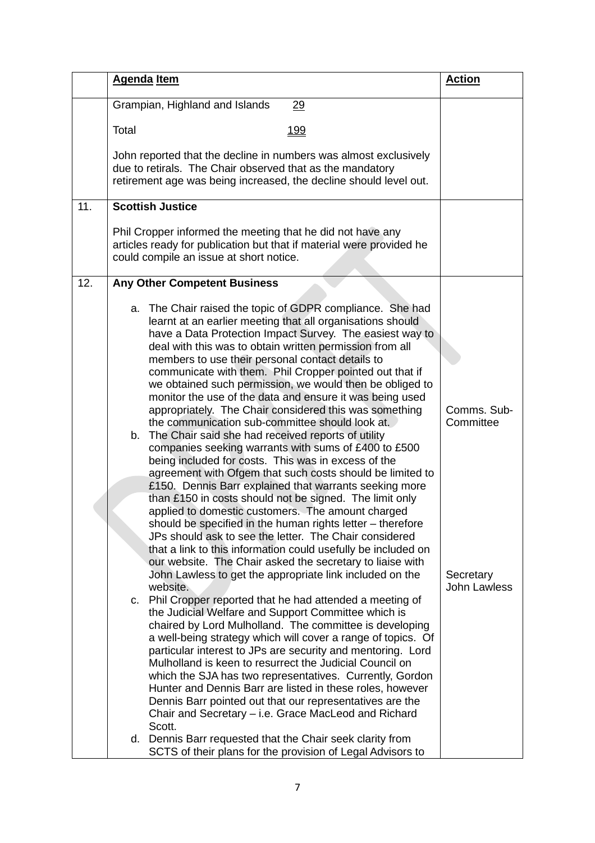|                | <b>Agenda Item</b>                                                                                                                                                                                                                                                                                                                                                                                                                                                                                                                                                                                                                                                                                                                                                                                                                                                                                                                                                                                                                                                                                                                                                                                                                                                                                                                                                                                                                                                                                                                                                                                                                                                                                                                                                                                                                                                                                                                                                                                                                                                                                  | <b>Action</b>                                                |
|----------------|-----------------------------------------------------------------------------------------------------------------------------------------------------------------------------------------------------------------------------------------------------------------------------------------------------------------------------------------------------------------------------------------------------------------------------------------------------------------------------------------------------------------------------------------------------------------------------------------------------------------------------------------------------------------------------------------------------------------------------------------------------------------------------------------------------------------------------------------------------------------------------------------------------------------------------------------------------------------------------------------------------------------------------------------------------------------------------------------------------------------------------------------------------------------------------------------------------------------------------------------------------------------------------------------------------------------------------------------------------------------------------------------------------------------------------------------------------------------------------------------------------------------------------------------------------------------------------------------------------------------------------------------------------------------------------------------------------------------------------------------------------------------------------------------------------------------------------------------------------------------------------------------------------------------------------------------------------------------------------------------------------------------------------------------------------------------------------------------------------|--------------------------------------------------------------|
|                | Grampian, Highland and Islands<br>29                                                                                                                                                                                                                                                                                                                                                                                                                                                                                                                                                                                                                                                                                                                                                                                                                                                                                                                                                                                                                                                                                                                                                                                                                                                                                                                                                                                                                                                                                                                                                                                                                                                                                                                                                                                                                                                                                                                                                                                                                                                                |                                                              |
| Total          | <u> 199</u>                                                                                                                                                                                                                                                                                                                                                                                                                                                                                                                                                                                                                                                                                                                                                                                                                                                                                                                                                                                                                                                                                                                                                                                                                                                                                                                                                                                                                                                                                                                                                                                                                                                                                                                                                                                                                                                                                                                                                                                                                                                                                         |                                                              |
|                | John reported that the decline in numbers was almost exclusively<br>due to retirals. The Chair observed that as the mandatory<br>retirement age was being increased, the decline should level out.                                                                                                                                                                                                                                                                                                                                                                                                                                                                                                                                                                                                                                                                                                                                                                                                                                                                                                                                                                                                                                                                                                                                                                                                                                                                                                                                                                                                                                                                                                                                                                                                                                                                                                                                                                                                                                                                                                  |                                                              |
| 11.            | <b>Scottish Justice</b>                                                                                                                                                                                                                                                                                                                                                                                                                                                                                                                                                                                                                                                                                                                                                                                                                                                                                                                                                                                                                                                                                                                                                                                                                                                                                                                                                                                                                                                                                                                                                                                                                                                                                                                                                                                                                                                                                                                                                                                                                                                                             |                                                              |
|                | Phil Cropper informed the meeting that he did not have any<br>articles ready for publication but that if material were provided he<br>could compile an issue at short notice.                                                                                                                                                                                                                                                                                                                                                                                                                                                                                                                                                                                                                                                                                                                                                                                                                                                                                                                                                                                                                                                                                                                                                                                                                                                                                                                                                                                                                                                                                                                                                                                                                                                                                                                                                                                                                                                                                                                       |                                                              |
| 12.            | <b>Any Other Competent Business</b>                                                                                                                                                                                                                                                                                                                                                                                                                                                                                                                                                                                                                                                                                                                                                                                                                                                                                                                                                                                                                                                                                                                                                                                                                                                                                                                                                                                                                                                                                                                                                                                                                                                                                                                                                                                                                                                                                                                                                                                                                                                                 |                                                              |
| a.<br>b.<br>C. | The Chair raised the topic of GDPR compliance. She had<br>learnt at an earlier meeting that all organisations should<br>have a Data Protection Impact Survey. The easiest way to<br>deal with this was to obtain written permission from all<br>members to use their personal contact details to<br>communicate with them. Phil Cropper pointed out that if<br>we obtained such permission, we would then be obliged to<br>monitor the use of the data and ensure it was being used<br>appropriately. The Chair considered this was something<br>the communication sub-committee should look at.<br>The Chair said she had received reports of utility<br>companies seeking warrants with sums of £400 to £500<br>being included for costs. This was in excess of the<br>agreement with Ofgem that such costs should be limited to<br>£150. Dennis Barr explained that warrants seeking more<br>than £150 in costs should not be signed. The limit only<br>applied to domestic customers. The amount charged<br>should be specified in the human rights letter - therefore<br>JPs should ask to see the letter. The Chair considered<br>that a link to this information could usefully be included on<br>our website. The Chair asked the secretary to liaise with<br>John Lawless to get the appropriate link included on the<br>website.<br>Phil Cropper reported that he had attended a meeting of<br>the Judicial Welfare and Support Committee which is<br>chaired by Lord Mulholland. The committee is developing<br>a well-being strategy which will cover a range of topics. Of<br>particular interest to JPs are security and mentoring. Lord<br>Mulholland is keen to resurrect the Judicial Council on<br>which the SJA has two representatives. Currently, Gordon<br>Hunter and Dennis Barr are listed in these roles, however<br>Dennis Barr pointed out that our representatives are the<br>Chair and Secretary – i.e. Grace MacLeod and Richard<br>Scott.<br>d. Dennis Barr requested that the Chair seek clarity from<br>SCTS of their plans for the provision of Legal Advisors to | Comms. Sub-<br>Committee<br>Secretary<br><b>John Lawless</b> |